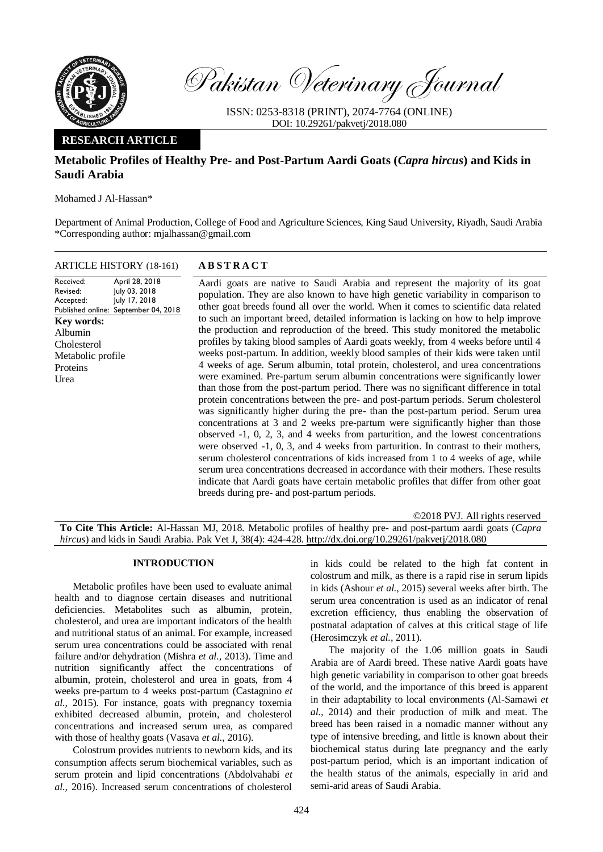

Pakistan Veterinary Journal

ISSN: 0253-8318 (PRINT), 2074-7764 (ONLINE) DOI: 10.29261/pakvetj/2018.080

# **RESEARCH ARTICLE**

# **Metabolic Profiles of Healthy Pre- and Post-Partum Aardi Goats (***Capra hircus***) and Kids in Saudi Arabia**

Mohamed J Al-Hassan\*

Department of Animal Production, College of Food and Agriculture Sciences, King Saud University, Riyadh, Saudi Arabia \*Corresponding author: mjalhassan@gmail.com

| <b>ARTICLE HISTORY (18-161)</b>                                                                                                                                                                                 | <b>ABSTRACT</b>                                                                                                                                                                                                                                                                                                 |
|-----------------------------------------------------------------------------------------------------------------------------------------------------------------------------------------------------------------|-----------------------------------------------------------------------------------------------------------------------------------------------------------------------------------------------------------------------------------------------------------------------------------------------------------------|
| April 28, 2018<br>Received:<br>July 03, 2018<br>Revised:<br>July 17, 2018<br>Accepted:<br>Published online: September 04, 2018<br>Key words:<br>Albumin<br>Cholesterol<br>Metabolic profile<br>Proteins<br>Urea | Aardi goats are<br>population. They<br>other goat breeds<br>to such an impor<br>the production at<br>profiles by taking<br>weeks post-partu<br>4 weeks of age.<br>were examined.<br>than those from t<br>protein concentra<br>was significantly<br>concentrations at<br>observed $-1, 0, 2$<br>were observed -1 |

e native to Saudi Arabia and represent the majority of its goat ey are also known to have high genetic variability in comparison to ds found all over the world. When it comes to scientific data related ortant breed, detailed information is lacking on how to help improve and reproduction of the breed. This study monitored the metabolic ng blood samples of Aardi goats weekly, from 4 weeks before until 4 tum. In addition, weekly blood samples of their kids were taken until . Serum albumin, total protein, cholesterol, and urea concentrations Pre-partum serum albumin concentrations were significantly lower the post-partum period. There was no significant difference in total rations between the pre- and post-partum periods. Serum cholesterol ly higher during the pre- than the post-partum period. Serum urea at 3 and 2 weeks pre-partum were significantly higher than those 2, 3, and 4 weeks from parturition, and the lowest concentrations  $-1$ , 0, 3, and 4 weeks from parturition. In contrast to their mothers, serum cholesterol concentrations of kids increased from 1 to 4 weeks of age, while serum urea concentrations decreased in accordance with their mothers. These results indicate that Aardi goats have certain metabolic profiles that differ from other goat breeds during pre- and post-partum periods.

©2018 PVJ. All rights reserved

**To Cite This Article:** Al-Hassan MJ, 2018. Metabolic profiles of healthy pre- and post-partum aardi goats (*Capra hircus*) and kids in Saudi Arabia. Pak Vet J, 38(4): 424-428[. http://dx.doi.org/10.29261/pakvetj/2018.080](http://pvj.com.pk/pdf-files/38_4/424-428.pdf) 

# **INTRODUCTION**

Metabolic profiles have been used to evaluate animal health and to diagnose certain diseases and nutritional deficiencies. Metabolites such as albumin, protein, cholesterol, and urea are important indicators of the health and nutritional status of an animal. For example, increased serum urea concentrations could be associated with renal failure and/or dehydration (Mishra *et al.,* 2013). Time and nutrition significantly affect the concentrations of albumin, protein, cholesterol and urea in goats, from 4 weeks pre-partum to 4 weeks post-partum (Castagnino *et al.,* 2015). For instance, goats with pregnancy toxemia exhibited decreased albumin, protein, and cholesterol concentrations and increased serum urea, as compared with those of healthy goats (Vasava *et al.,* 2016).

Colostrum provides nutrients to newborn kids, and its consumption affects serum biochemical variables, such as serum protein and lipid concentrations (Abdolvahabi *et al.,* 2016). Increased serum concentrations of cholesterol

in kids could be related to the high fat content in colostrum and milk, as there is a rapid rise in serum lipids in kids (Ashour *et al.,* 2015) several weeks after birth. The serum urea concentration is used as an indicator of renal excretion efficiency, thus enabling the observation of postnatal adaptation of calves at this critical stage of life (Herosimczyk *et al.,* 2011).

The majority of the 1.06 million goats in Saudi Arabia are of Aardi breed. These native Aardi goats have high genetic variability in comparison to other goat breeds of the world, and the importance of this breed is apparent in their adaptability to local environments (Al-Samawi *et al.,* 2014) and their production of milk and meat. The breed has been raised in a nomadic manner without any type of intensive breeding, and little is known about their biochemical status during late pregnancy and the early post-partum period, which is an important indication of the health status of the animals, especially in arid and semi-arid areas of Saudi Arabia.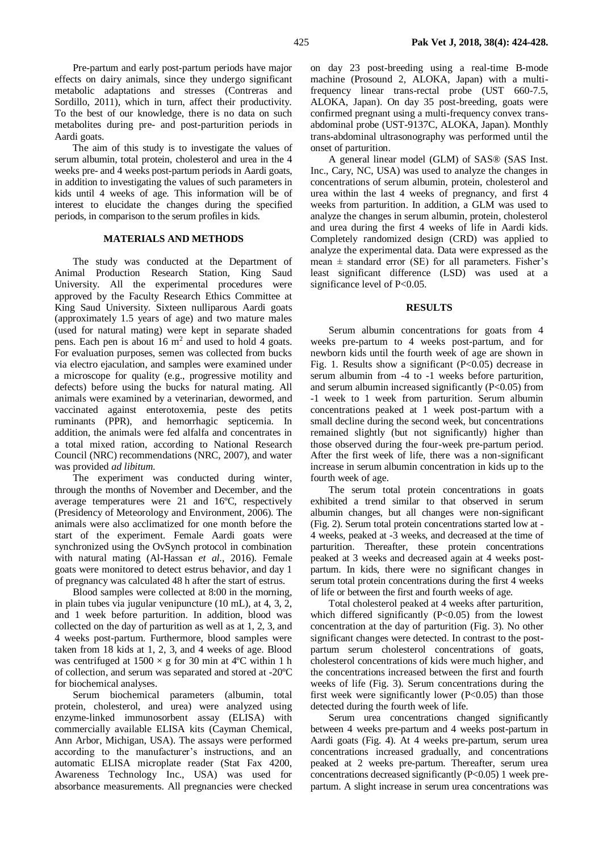Pre-partum and early post-partum periods have major effects on dairy animals, since they undergo significant metabolic adaptations and stresses (Contreras and Sordillo, 2011), which in turn, affect their productivity. To the best of our knowledge, there is no data on such metabolites during pre- and post-parturition periods in Aardi goats.

The aim of this study is to investigate the values of serum albumin, total protein, cholesterol and urea in the 4 weeks pre- and 4 weeks post-partum periods in Aardi goats, in addition to investigating the values of such parameters in kids until 4 weeks of age. This information will be of interest to elucidate the changes during the specified periods, in comparison to the serum profiles in kids.

## **MATERIALS AND METHODS**

The study was conducted at the Department of Animal Production Research Station, King Saud University. All the experimental procedures were approved by the Faculty Research Ethics Committee at King Saud University. Sixteen nulliparous Aardi goats (approximately 1.5 years of age) and two mature males (used for natural mating) were kept in separate shaded pens. Each pen is about  $16 \text{ m}^2$  and used to hold 4 goats. For evaluation purposes, semen was collected from bucks via electro ejaculation, and samples were examined under a microscope for quality (e.g., progressive motility and defects) before using the bucks for natural mating. All animals were examined by a veterinarian, dewormed, and vaccinated against enterotoxemia, peste des petits ruminants (PPR), and hemorrhagic septicemia. In addition, the animals were fed alfalfa and concentrates in a total mixed ration, according to National Research Council (NRC) recommendations (NRC, 2007), and water was provided *ad libitum*.

The experiment was conducted during winter, through the months of November and December, and the average temperatures were 21 and 16ºC, respectively (Presidency of Meteorology and Environment, 2006). The animals were also acclimatized for one month before the start of the experiment. Female Aardi goats were synchronized using the OvSynch protocol in combination with natural mating (Al-Hassan *et al.,* 2016). Female goats were monitored to detect estrus behavior, and day 1 of pregnancy was calculated 48 h after the start of estrus.

Blood samples were collected at 8:00 in the morning, in plain tubes via jugular venipuncture (10 mL), at 4, 3, 2, and 1 week before parturition. In addition, blood was collected on the day of parturition as well as at 1, 2, 3, and 4 weeks post-partum. Furthermore, blood samples were taken from 18 kids at 1, 2, 3, and 4 weeks of age. Blood was centrifuged at  $1500 \times g$  for 30 min at 4<sup>o</sup>C within 1 h of collection, and serum was separated and stored at -20ºC for biochemical analyses.

Serum biochemical parameters (albumin, total protein, cholesterol, and urea) were analyzed using enzyme-linked immunosorbent assay (ELISA) with commercially available ELISA kits (Cayman Chemical, Ann Arbor, Michigan, USA). The assays were performed according to the manufacturer's instructions, and an automatic ELISA microplate reader (Stat Fax 4200, Awareness Technology Inc., USA) was used for absorbance measurements. All pregnancies were checked on day 23 post-breeding using a real-time B-mode machine (Prosound 2, ALOKA, Japan) with a multifrequency linear trans-rectal probe (UST 660-7.5, ALOKA, Japan). On day 35 post-breeding, goats were confirmed pregnant using a multi-frequency convex transabdominal probe (UST-9137C, ALOKA, Japan). Monthly trans-abdominal ultrasonography was performed until the onset of parturition.

A general linear model (GLM) of SAS® (SAS Inst. Inc., Cary, NC, USA) was used to analyze the changes in concentrations of serum albumin, protein, cholesterol and urea within the last 4 weeks of pregnancy, and first 4 weeks from parturition. In addition, a GLM was used to analyze the changes in serum albumin, protein, cholesterol and urea during the first 4 weeks of life in Aardi kids. Completely randomized design (CRD) was applied to analyze the experimental data. Data were expressed as the mean  $\pm$  standard error (SE) for all parameters. Fisher's least significant difference (LSD) was used at a significance level of P<0.05.

### **RESULTS**

Serum albumin concentrations for goats from 4 weeks pre-partum to 4 weeks post-partum, and for newborn kids until the fourth week of age are shown in Fig. 1. Results show a significant (P<0.05) decrease in serum albumin from -4 to -1 weeks before parturition, and serum albumin increased significantly  $(P<0.05)$  from -1 week to 1 week from parturition. Serum albumin concentrations peaked at 1 week post-partum with a small decline during the second week, but concentrations remained slightly (but not significantly) higher than those observed during the four-week pre-partum period. After the first week of life, there was a non-significant increase in serum albumin concentration in kids up to the fourth week of age.

The serum total protein concentrations in goats exhibited a trend similar to that observed in serum albumin changes, but all changes were non-significant (Fig. 2). Serum total protein concentrations started low at - 4 weeks, peaked at -3 weeks, and decreased at the time of parturition. Thereafter, these protein concentrations peaked at 3 weeks and decreased again at 4 weeks postpartum. In kids, there were no significant changes in serum total protein concentrations during the first 4 weeks of life or between the first and fourth weeks of age.

Total cholesterol peaked at 4 weeks after parturition, which differed significantly  $(P<0.05)$  from the lowest concentration at the day of parturition (Fig. 3). No other significant changes were detected. In contrast to the postpartum serum cholesterol concentrations of goats, cholesterol concentrations of kids were much higher, and the concentrations increased between the first and fourth weeks of life (Fig. 3). Serum concentrations during the first week were significantly lower  $(P<0.05)$  than those detected during the fourth week of life.

Serum urea concentrations changed significantly between 4 weeks pre-partum and 4 weeks post-partum in Aardi goats (Fig. 4). At 4 weeks pre-partum, serum urea concentrations increased gradually, and concentrations peaked at 2 weeks pre-partum. Thereafter, serum urea concentrations decreased significantly  $(P<0.05)$  1 week prepartum. A slight increase in serum urea concentrations was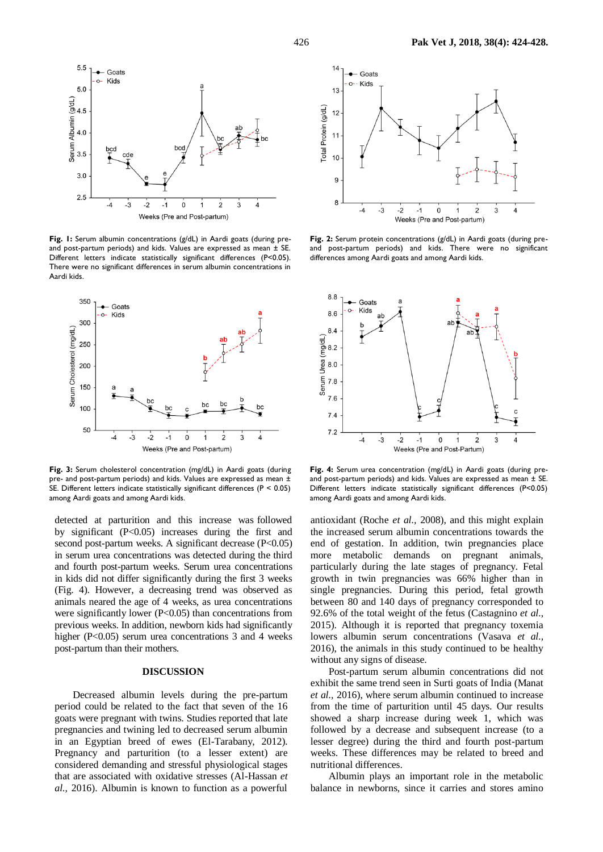

Fig. 1: Serum albumin concentrations (g/dL) in Aardi goats (during preand post-partum periods) and kids. Values are expressed as mean ± SE. Different letters indicate statistically significant differences (P<0.05). There were no significant differences in serum albumin concentrations in Aardi kids.



**Fig. 3:** Serum cholesterol concentration (mg/dL) in Aardi goats (during pre- and post-partum periods) and kids. Values are expressed as mean ± SE. Different letters indicate statistically significant differences (P < 0.05) among Aardi goats and among Aardi kids.

detected at parturition and this increase was followed by significant (P<0.05) increases during the first and second post-partum weeks. A significant decrease (P<0.05) in serum urea concentrations was detected during the third and fourth post-partum weeks. Serum urea concentrations in kids did not differ significantly during the first 3 weeks (Fig. 4). However, a decreasing trend was observed as animals neared the age of 4 weeks, as urea concentrations were significantly lower (P<0.05) than concentrations from previous weeks. In addition, newborn kids had significantly higher (P<0.05) serum urea concentrations 3 and 4 weeks post-partum than their mothers.

### **DISCUSSION**

Decreased albumin levels during the pre-partum period could be related to the fact that seven of the 16 goats were pregnant with twins. Studies reported that late pregnancies and twining led to decreased serum albumin in an Egyptian breed of ewes (El-Tarabany, 2012). Pregnancy and parturition (to a lesser extent) are considered demanding and stressful physiological stages that are associated with oxidative stresses (Al-Hassan *et al.,* 2016). Albumin is known to function as a powerful



Fig. 2: Serum protein concentrations (g/dL) in Aardi goats (during preand post-partum periods) and kids. There were no significant differences among Aardi goats and among Aardi kids.



**Fig. 4:** Serum urea concentration (mg/dL) in Aardi goats (during preand post-partum periods) and kids. Values are expressed as mean ± SE. Different letters indicate statistically significant differences (P<0.05) among Aardi goats and among Aardi kids.

antioxidant (Roche *et al.,* 2008), and this might explain the increased serum albumin concentrations towards the end of gestation. In addition, twin pregnancies place more metabolic demands on pregnant animals, particularly during the late stages of pregnancy. Fetal growth in twin pregnancies was 66% higher than in single pregnancies. During this period, fetal growth between 80 and 140 days of pregnancy corresponded to 92.6% of the total weight of the fetus (Castagnino *et al.,* 2015). Although it is reported that pregnancy toxemia lowers albumin serum concentrations (Vasava *et al.,* 2016), the animals in this study continued to be healthy without any signs of disease.

Post-partum serum albumin concentrations did not exhibit the same trend seen in Surti goats of India (Manat *et al.,* 2016), where serum albumin continued to increase from the time of parturition until 45 days. Our results showed a sharp increase during week 1, which was followed by a decrease and subsequent increase (to a lesser degree) during the third and fourth post-partum weeks. These differences may be related to breed and nutritional differences.

Albumin plays an important role in the metabolic balance in newborns, since it carries and stores amino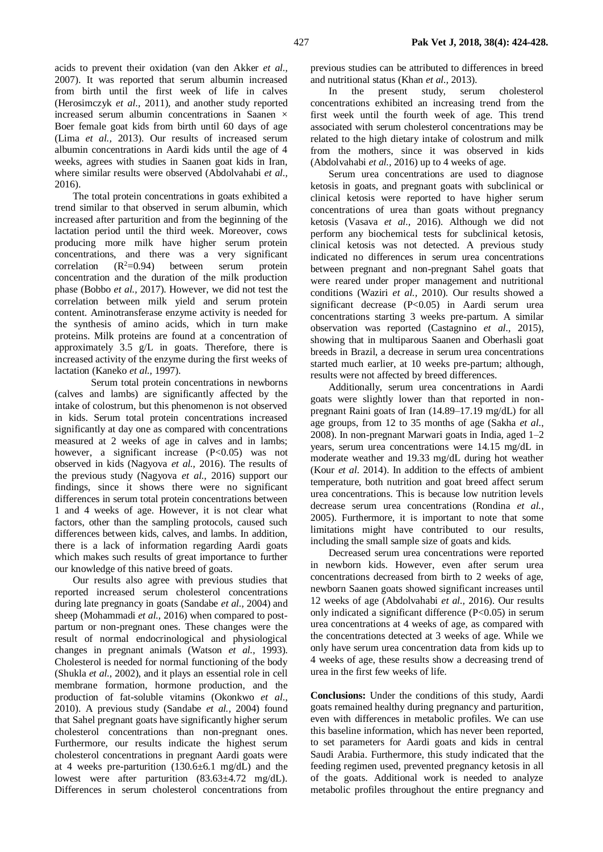2016). The total protein concentrations in goats exhibited a trend similar to that observed in serum albumin, which increased after parturition and from the beginning of the lactation period until the third week. Moreover, cows producing more milk have higher serum protein concentrations, and there was a very significant correlation  $(R^2=0.94)$  between serum protein concentration and the duration of the milk production phase (Bobbo *et al.,* 2017). However, we did not test the correlation between milk yield and serum protein content. Aminotransferase enzyme activity is needed for the synthesis of amino acids, which in turn make proteins. Milk proteins are found at a concentration of approximately 3.5 g/L in goats. Therefore, there is increased activity of the enzyme during the first weeks of lactation (Kaneko *et al.,* 1997).

where similar results were observed (Abdolvahabi *et al.,*

Serum total protein concentrations in newborns (calves and lambs) are significantly affected by the intake of colostrum, but this phenomenon is not observed in kids. Serum total protein concentrations increased significantly at day one as compared with concentrations measured at 2 weeks of age in calves and in lambs; however, a significant increase (P<0.05) was not observed in kids (Nagyova *et al.,* 2016). The results of the previous study (Nagyova *et al.,* 2016) support our findings, since it shows there were no significant differences in serum total protein concentrations between 1 and 4 weeks of age. However, it is not clear what factors, other than the sampling protocols, caused such differences between kids, calves, and lambs. In addition, there is a lack of information regarding Aardi goats which makes such results of great importance to further our knowledge of this native breed of goats.

Our results also agree with previous studies that reported increased serum cholesterol concentrations during late pregnancy in goats (Sandabe *et al.,* 2004) and sheep (Mohammadi *et al.,* 2016) when compared to postpartum or non-pregnant ones. These changes were the result of normal endocrinological and physiological changes in pregnant animals (Watson *et al.,* 1993). Cholesterol is needed for normal functioning of the body (Shukla *et al.,* 2002), and it plays an essential role in cell membrane formation, hormone production, and the production of fat-soluble vitamins (Okonkwo *et al.,* 2010). A previous study (Sandabe *et al.,* 2004) found that Sahel pregnant goats have significantly higher serum cholesterol concentrations than non-pregnant ones. Furthermore, our results indicate the highest serum cholesterol concentrations in pregnant Aardi goats were at 4 weeks pre-parturition (130.6±6.1 mg/dL) and the lowest were after parturition (83.63±4.72 mg/dL). Differences in serum cholesterol concentrations from

previous studies can be attributed to differences in breed and nutritional status (Khan *et al.,* 2013).

In the present study, serum cholesterol concentrations exhibited an increasing trend from the first week until the fourth week of age. This trend associated with serum cholesterol concentrations may be related to the high dietary intake of colostrum and milk from the mothers, since it was observed in kids (Abdolvahabi *et al.,* 2016) up to 4 weeks of age.

Serum urea concentrations are used to diagnose ketosis in goats, and pregnant goats with subclinical or clinical ketosis were reported to have higher serum concentrations of urea than goats without pregnancy ketosis (Vasava *et al.,* 2016). Although we did not perform any biochemical tests for subclinical ketosis, clinical ketosis was not detected. A previous study indicated no differences in serum urea concentrations between pregnant and non-pregnant Sahel goats that were reared under proper management and nutritional conditions (Waziri *et al.,* 2010). Our results showed a significant decrease (P<0.05) in Aardi serum urea concentrations starting 3 weeks pre-partum. A similar observation was reported (Castagnino *et al.,* 2015), showing that in multiparous Saanen and Oberhasli goat breeds in Brazil, a decrease in serum urea concentrations started much earlier, at 10 weeks pre-partum; although, results were not affected by breed differences.

Additionally, serum urea concentrations in Aardi goats were slightly lower than that reported in nonpregnant Raini goats of Iran (14.89–17.19 mg/dL) for all age groups, from 12 to 35 months of age (Sakha *et al*., 2008). In non-pregnant Marwari goats in India, aged 1–2 years, serum urea concentrations were 14.15 mg/dL in moderate weather and 19.33 mg/dL during hot weather (Kour *et al*. 2014). In addition to the effects of ambient temperature, both nutrition and goat breed affect serum urea concentrations. This is because low nutrition levels decrease serum urea concentrations (Rondina *et al.,* 2005). Furthermore, it is important to note that some limitations might have contributed to our results, including the small sample size of goats and kids.

Decreased serum urea concentrations were reported in newborn kids. However, even after serum urea concentrations decreased from birth to 2 weeks of age, newborn Saanen goats showed significant increases until 12 weeks of age (Abdolvahabi *et al.,* 2016). Our results only indicated a significant difference (P<0.05) in serum urea concentrations at 4 weeks of age, as compared with the concentrations detected at 3 weeks of age. While we only have serum urea concentration data from kids up to 4 weeks of age, these results show a decreasing trend of urea in the first few weeks of life.

**Conclusions:** Under the conditions of this study, Aardi goats remained healthy during pregnancy and parturition, even with differences in metabolic profiles. We can use this baseline information, which has never been reported, to set parameters for Aardi goats and kids in central Saudi Arabia. Furthermore, this study indicated that the feeding regimen used, prevented pregnancy ketosis in all of the goats. Additional work is needed to analyze metabolic profiles throughout the entire pregnancy and